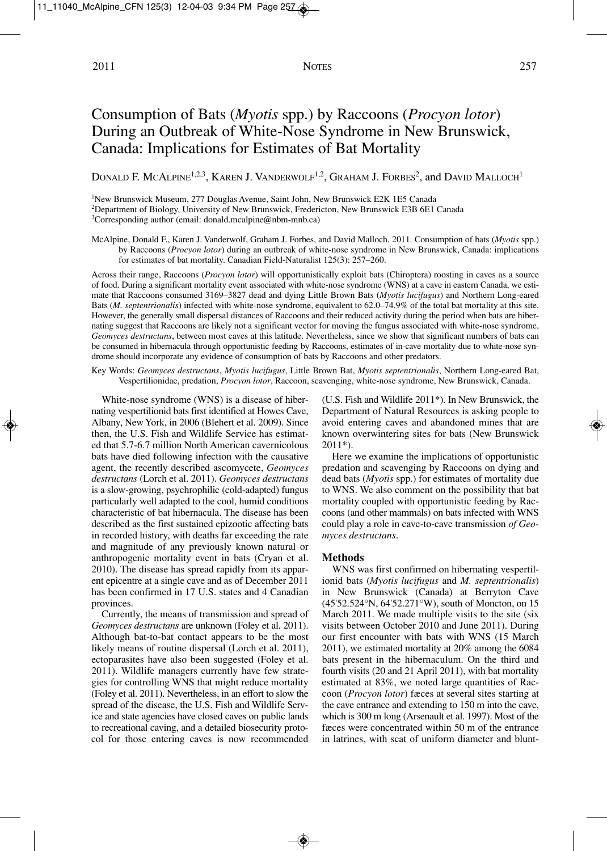# Consumption of Bats (*Myotis* spp.) by Raccoons (*Procyon lotor*) During an Outbreak of White-Nose Syndrome in New Brunswick, Canada: Implications for Estimates of Bat Mortality

DONALD F. MCALPINE<sup>1,2,3</sup>, KAREN J. VANDERWOLF<sup>1,2</sup>, GRAHAM J. FORBES<sup>2</sup>, and DAVID MALLOCH<sup>1</sup>

1New Brunswick Museum, 277 Douglas Avenue, Saint John, New Brunswick E2K 1E5 Canada

2Department of Biology, University of New Brunswick, Fredericton, New Brunswick E3B 6E1 Canada

3Corresponding author (email: donald.mcalpine@nbm-mnb.ca)

McAlpine, Donald F., Karen J. Vanderwolf, Graham J. Forbes, and David Malloch. 2011. Consumption of bats (*Myotis* spp.) by Raccoons (*Procyon lotor*) during an outbreak of white-nose syndrome in New Brunswick, Canada: implications for estimates of bat mortality. Canadian Field-Naturalist 125(3): 257–260.

Across their range, Raccoons (*Procyon lotor*) will opportunistically exploit bats (Chiroptera) roosting in caves as a source of food. During a significant mortality event associated with white-nose syndrome (WNS) at a cave in eastern Canada, we estimate that Raccoons consumed 3169–3827 dead and dying Little Brown Bats (*Myotis lucifugus*) and Northern Long-eared Bats (*M. septentrionalis*) infected with white-nose syndrome, equivalent to 62.0–74.9% of the total bat mortality at this site. However, the generally small dispersal distances of Raccoons and their reduced activity during the period when bats are hibernating suggest that Raccoons are likely not a significant vector for moving the fungus associated with white-nose syndrome, *Geomyces destructans*, between most caves at this latitude. Nevertheless, since we show that significant numbers of bats can be consumed in hibernacula through opportunistic feeding by Raccoons, estimates of in-cave mortality due to white-nose syndrome should incorporate any evidence of consumption of bats by Raccoons and other predators.

Key Words: *Geomyces destructans*, *Myotis lucifugus*, Little Brown Bat, *Myotis septentrionalis*, Northern Long-eared Bat, Vespertilionidae, predation, *Procyon lotor*, Raccoon, scavenging, white-nose syndrome, New Brunswick, Canada.

White-nose syndrome (WNS) is a disease of hibernating vespertilionid bats first identified at Howes Cave, Albany, NewYork, in 2006 (Blehert et al. 2009). Since then, the U.S. Fish and Wildlife Service has estimated that 5.7-6.7 million North American cavernicolous bats have died following infection with the causative agent, the recently described ascomycete, *Geomyces destructans* (Lorch et al. 2011). *Geomyces destructans* is a slow-growing, psychrophilic (cold-adapted) fungus particularly well adapted to the cool, humid conditions characteristic of bat hibernacula. The disease has been described as the first sustained epizootic affecting bats in recorded history, with deaths far exceeding the rate and magnitude of any previously known natural or anthropogenic mortality event in bats (Cryan et al. 2010). The disease has spread rapidly from its apparent epicentre at a single cave and as of December 2011 has been confirmed in 17 U.S. states and 4 Canadian provinces.

Currently, the means of transmission and spread of *Geomyces destructans* are unknown (Foley et al. 2011). Although bat-to-bat contact appears to be the most likely means of routine dispersal (Lorch et al. 2011), ectoparasites have also been suggested (Foley et al. 2011). Wildlife managers currently have few strategies for controlling WNS that might reduce mortality (Foley et al. 2011). Nevertheless, in an effort to slow the spread of the disease, the U.S. Fish and Wildlife Service and state agencies have closed caves on public lands to recreational caving, and a detailed biosecurity protocol for those entering caves is now recommended

(U.S. Fish and Wildlife 2011\*). In New Brunswick, the Department of Natural Resources is asking people to avoid entering caves and abandoned mines that are known overwintering sites for bats (New Brunswick 2011\*).

Here we examine the implications of opportunistic predation and scavenging by Raccoons on dying and dead bats (*Myotis* spp.) for estimates of mortality due to WNS. We also comment on the possibility that bat mortality coupled with opportunistic feeding by Raccoons (and other mammals) on bats infected with WNS could play a role in cave-to-cave transmission *of Geomyces destructans*.

## **Methods**

WNS was first confirmed on hibernating vespertilionid bats (*Myotis lucifugus* and *M. septentrionalis*) in New Brunswick (Canada) at Berryton Cave (45'52.524°N, 64'52.271°W), south of Moncton, on 15 March 2011. We made multiple visits to the site (six visits between October 2010 and June 2011). During our first encounter with bats with WNS (15 March 2011), we estimated mortality at 20% among the 6084 bats present in the hibernaculum. On the third and fourth visits (20 and 21 April 2011), with bat mortality estimated at 83%, we noted large quantities of Raccoon (*Procyon lotor*) fæces at several sites starting at the cave entrance and extending to 150 m into the cave, which is 300 m long (Arsenault et al. 1997). Most of the fæces were concentrated within 50 m of the entrance in latrines, with scat of uniform diameter and blunt-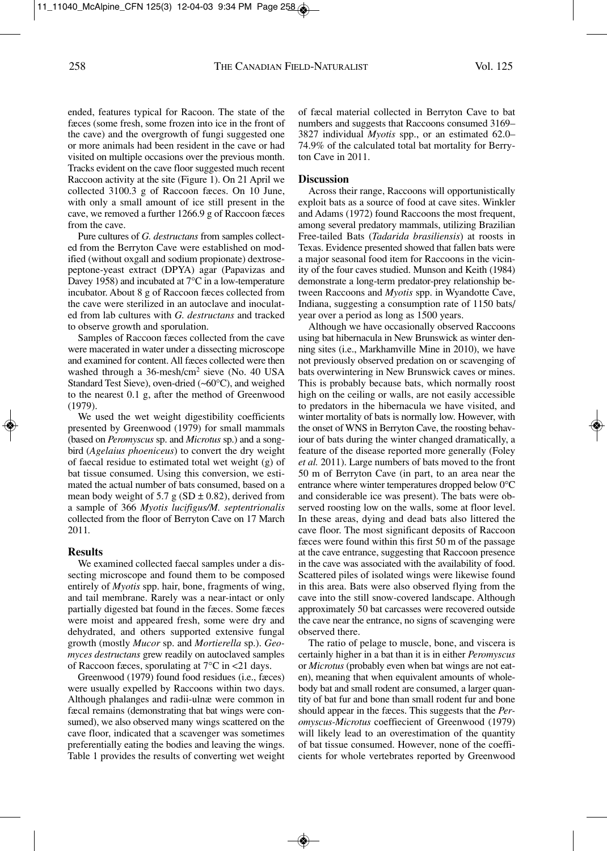ended, features typical for Racoon. The state of the fæces (some fresh, some frozen into ice in the front of the cave) and the overgrowth of fungi suggested one or more animals had been resident in the cave or had visited on multiple occasions over the previous month. Tracks evident on the cave floor suggested much recent Raccoon activity at the site (Figure 1). On 21 April we collected 3100.3 g of Raccoon fæces. On 10 June, with only a small amount of ice still present in the cave, we removed a further 1266.9 g of Raccoon fæces from the cave.

Pure cultures of *G. destructans* from samples collected from the Berryton Cave were established on modified (without oxgall and sodium propionate) dextrosepeptone-yeast extract (DPYA) agar (Papavizas and Davey 1958) and incubated at 7°C in a low-temperature incubator. About 8 g of Raccoon fæces collected from the cave were sterilized in an autoclave and inoculated from lab cultures with *G. destructans* and tracked to observe growth and sporulation.

Samples of Raccoon fæces collected from the cave were macerated in water under a dissecting microscope and examined for content. All fæces collected were then washed through a 36-mesh/cm2 sieve (No. 40 USA Standard Test Sieve), oven-dried (~60°C), and weighed to the nearest 0.1 g, after the method of Greenwood (1979).

We used the wet weight digestibility coefficients presented by Greenwood (1979) for small mammals (based on *Peromyscus* sp. and *Microtus* sp.) and a songbird (*Agelaius phoeniceus*) to convert the dry weight of faecal residue to estimated total wet weight (g) of bat tissue consumed. Using this conversion, we estimated the actual number of bats consumed, based on a mean body weight of 5.7 g (SD  $\pm$  0.82), derived from a sample of 366 *Myotis lucifigus/M. septentrionalis* collected from the floor of Berryton Cave on 17 March 2011*.*

#### **Results**

We examined collected faecal samples under a dissecting microscope and found them to be composed entirely of *Myotis* spp. hair, bone, fragments of wing, and tail membrane. Rarely was a near-intact or only partially digested bat found in the fæces. Some fæces were moist and appeared fresh, some were dry and dehydrated, and others supported extensive fungal growth (mostly *Mucor* sp. and *Mortierella* sp.). *Geomyces destructans* grew readily on autoclaved samples of Raccoon fæces, sporulating at 7°C in <21 days.

Greenwood (1979) found food residues (i.e., fæces) were usually expelled by Raccoons within two days. Although phalanges and radii-ulnæ were common in fæcal remains (demonstrating that bat wings were consumed), we also observed many wings scattered on the cave floor, indicated that a scavenger was sometimes preferentially eating the bodies and leaving the wings. Table 1 provides the results of converting wet weight of fæcal material collected in Berryton Cave to bat numbers and suggests that Raccoons consumed 3169– 3827 individual *Myotis* spp., or an estimated 62.0– 74.9% of the calculated total bat mortality for Berryton Cave in 2011.

## **Discussion**

Across their range, Raccoons will opportunistically exploit bats as a source of food at cave sites. Winkler and Adams (1972) found Raccoons the most frequent, among several predatory mammals, utilizing Brazilian Free-tailed Bats (*Tadarida brasiliensis*) at roosts in Texas. Evidence presented showed that fallen bats were a major seasonal food item for Raccoons in the vicinity of the four caves studied. Munson and Keith (1984) demonstrate a long-term predator-prey relationship between Raccoons and *Myotis* spp. in Wyandotte Cave, Indiana, suggesting a consumption rate of 1150 bats/ year over a period as long as 1500 years.

Although we have occasionally observed Raccoons using bat hibernacula in New Brunswick as winter denning sites (i.e., Markhamville Mine in 2010), we have not previously observed predation on or scavenging of bats overwintering in New Brunswick caves or mines. This is probably because bats, which normally roost high on the ceiling or walls, are not easily accessible to predators in the hibernacula we have visited, and winter mortality of bats is normally low. However, with the onset of WNS in Berryton Cave, the roosting behaviour of bats during the winter changed dramatically, a feature of the disease reported more generally (Foley *et al.* 2011). Large numbers of bats moved to the front 50 m of Berryton Cave (in part, to an area near the entrance where winter temperatures dropped below 0°C and considerable ice was present). The bats were observed roosting low on the walls, some at floor level. In these areas, dying and dead bats also littered the cave floor. The most significant deposits of Raccoon fæces were found within this first 50 m of the passage at the cave entrance, suggesting that Raccoon presence in the cave was associated with the availability of food. Scattered piles of isolated wings were likewise found in this area. Bats were also observed flying from the cave into the still snow-covered landscape. Although approximately 50 bat carcasses were recovered outside the cave near the entrance, no signs of scavenging were observed there.

The ratio of pelage to muscle, bone, and viscera is certainly higher in a bat than it is in either *Peromyscus* or *Microtus* (probably even when bat wings are not eaten), meaning that when equivalent amounts of wholebody bat and small rodent are consumed, a larger quantity of bat fur and bone than small rodent fur and bone should appear in the fæces. This suggests that the *Peromyscus-Microtus* coeffiecient of Greenwood (1979) will likely lead to an overestimation of the quantity of bat tissue consumed. However, none of the coefficients for whole vertebrates reported by Greenwood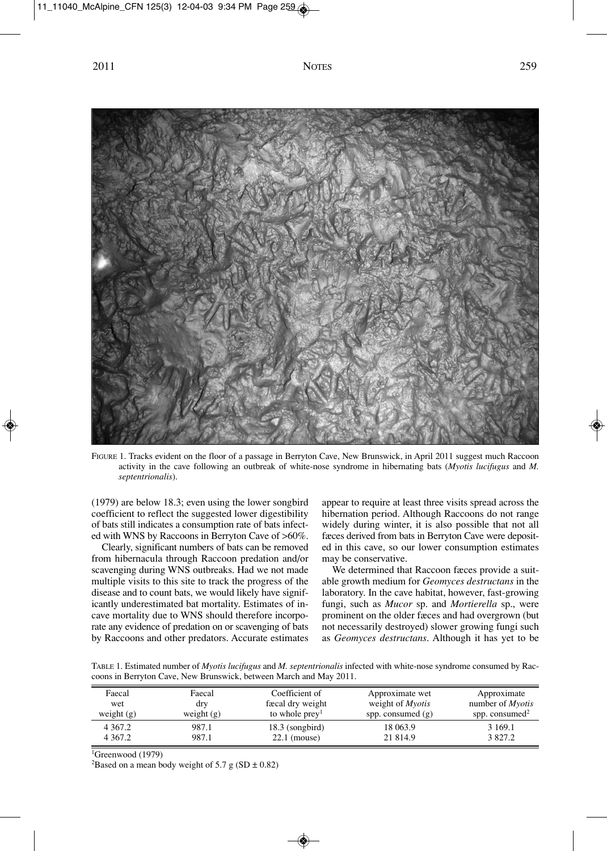

FIGURE 1. Tracks evident on the floor of a passage in Berryton Cave, New Brunswick, in April 2011 suggest much Raccoon activity in the cave following an outbreak of white-nose syndrome in hibernating bats (*Myotis lucifugus* and *M. septentrionalis*).

(1979) are below 18.3; even using the lower songbird coefficient to reflect the suggested lower digestibility of bats still indicates a consumption rate of bats infected with WNS by Raccoons in Berryton Cave of >60%.

Clearly, significant numbers of bats can be removed from hibernacula through Raccoon predation and/or scavenging during WNS outbreaks. Had we not made multiple visits to this site to track the progress of the disease and to count bats, we would likely have significantly underestimated bat mortality. Estimates of incave mortality due to WNS should therefore incorporate any evidence of predation on or scavenging of bats by Raccoons and other predators. Accurate estimates

appear to require at least three visits spread across the hibernation period. Although Raccoons do not range widely during winter, it is also possible that not all fæces derived from bats in Berryton Cave were deposited in this cave, so our lower consumption estimates may be conservative.

We determined that Raccoon fæces provide a suitable growth medium for *Geomyces destructans* in the laboratory. In the cave habitat, however, fast-growing fungi, such as *Mucor* sp. and *Mortierella* sp., were prominent on the older fæces and had overgrown (but not necessarily destroyed) slower growing fungi such as *Geomyces destructans*. Although it has yet to be

TABLE 1. Estimated number of *Myotis lucifugus* and *M. septentrionalis* infected with white-nose syndrome consumed by Raccoons in Berryton Cave, New Brunswick, between March and May 2011.

| Faecal<br>wet | Faecal<br>dry | Coefficient of<br>fæcal dry weight | Approximate wet<br>weight of <i>Myotis</i> | Approximate<br>number of <i>Myotis</i> |
|---------------|---------------|------------------------------------|--------------------------------------------|----------------------------------------|
| weight $(g)$  | weight $(g)$  | to whole prey <sup>1</sup>         | spp. consumed $(g)$                        | spp. consumed $2$                      |
| 4 3 6 7 . 2   | 987.1         | $18.3$ (songbird)                  | 18 063.9                                   | 3 1 6 9 .1                             |
| 4 3 6 7 . 2   | 987.1         | $22.1$ (mouse)                     | 21 814.9                                   | 3 827.2                                |

<sup>1</sup>Greenwood (1979)

<sup>2</sup>Based on a mean body weight of 5.7 g (SD  $\pm$  0.82)